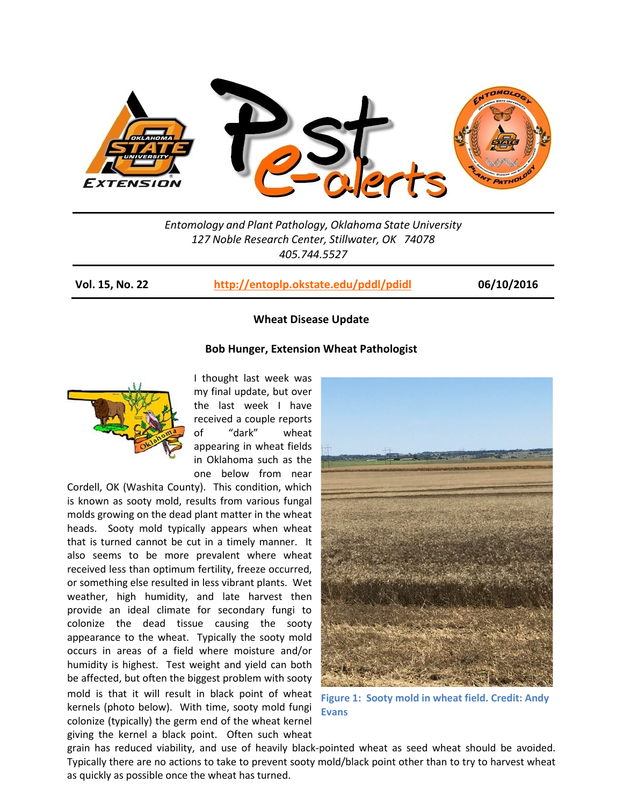

*Entomology and Plant Pathology, Oklahoma State University 127 Noble Research Center, Stillwater, OK 74078 405.744.5527*

**Vol. 15, No. 22 <http://entoplp.okstate.edu/pddl/pdidl> 06/10/2016**

## **Wheat Disease Update**

# **Bob Hunger, Extension Wheat Pathologist**



I thought last week was my final update, but over the last week I have received a couple reports of "dark" wheat appearing in wheat fields in Oklahoma such as the one below from near

Cordell, OK (Washita County). This condition, which is known as sooty mold, results from various fungal molds growing on the dead plant matter in the wheat heads. Sooty mold typically appears when wheat that is turned cannot be cut in a timely manner. It also seems to be more prevalent where wheat received less than optimum fertility, freeze occurred, or something else resulted in less vibrant plants. Wet weather, high humidity, and late harvest then provide an ideal climate for secondary fungi to colonize the dead tissue causing the sooty appearance to the wheat. Typically the sooty mold occurs in areas of a field where moisture and/or humidity is highest. Test weight and yield can both be affected, but often the biggest problem with sooty mold is that it will result in black point of wheat kernels (photo below). With time, sooty mold fungi colonize (typically) the germ end of the wheat kernel giving the kernel a black point. Often such wheat



**Figure 1: Sooty mold in wheat field. Credit: Andy Evans**

grain has reduced viability, and use of heavily black-pointed wheat as seed wheat should be avoided. Typically there are no actions to take to prevent sooty mold/black point other than to try to harvest wheat as quickly as possible once the wheat has turned.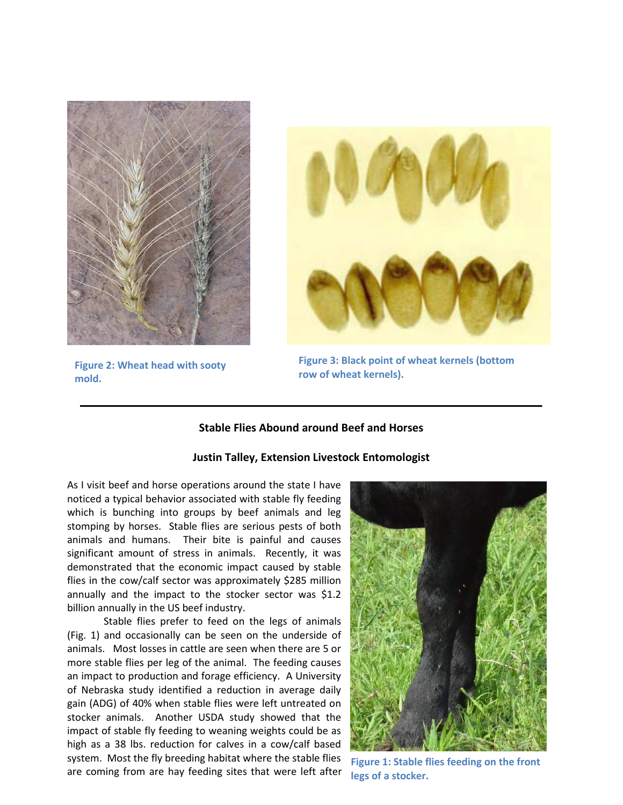



**Figure 2: Wheat head with sooty Figure 3: Black point of property Figure 3: Black point of wheat kernels**). **mold.**

**Figure 3: Black point of wheat kernels (bottom** 

# **Stable Flies Abound around Beef and Horses**

### **Justin Talley, Extension Livestock Entomologist**

As I visit beef and horse operations around the state I have noticed a typical behavior associated with stable fly feeding which is bunching into groups by beef animals and leg stomping by horses. Stable flies are serious pests of both animals and humans. Their bite is painful and causes significant amount of stress in animals. Recently, it was demonstrated that the economic impact caused by stable flies in the cow/calf sector was approximately \$285 million annually and the impact to the stocker sector was \$1.2 billion annually in the US beef industry.

Stable flies prefer to feed on the legs of animals (Fig. 1) and occasionally can be seen on the underside of animals. Most losses in cattle are seen when there are 5 or more stable flies per leg of the animal. The feeding causes an impact to production and forage efficiency. A University of Nebraska study identified a reduction in average daily gain (ADG) of 40% when stable flies were left untreated on stocker animals. Another USDA study showed that the impact of stable fly feeding to weaning weights could be as high as a 38 lbs. reduction for calves in a cow/calf based system. Most the fly breeding habitat where the stable flies are coming from are hay feeding sites that were left after



**Figure 1: Stable flies feeding on the front legs of a stocker.**